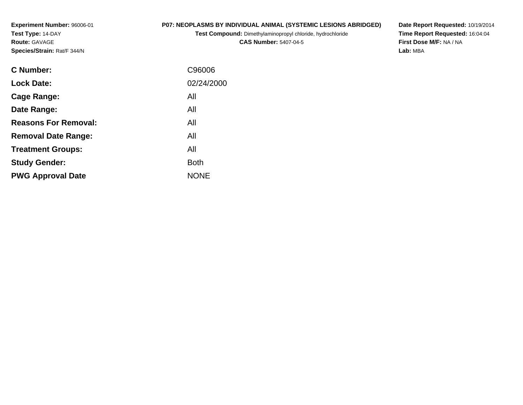**Experiment Number:** 96006-01**Test Type:** 14-DAY**Route:** GAVAGE**Species/Strain:** Rat/F 344/N

## **P07: NEOPLASMS BY INDIVIDUAL ANIMAL (SYSTEMIC LESIONS ABRIDGED)**

**Test Compound:** Dimethylaminopropyl chloride, hydrochloride

**CAS Number:** 5407-04-5

**Date Report Requested:** 10/19/2014 **Time Report Requested:** 16:04:04**First Dose M/F:** NA / NA**Lab:** MBA

| C Number:                   | C96006      |
|-----------------------------|-------------|
| <b>Lock Date:</b>           | 02/24/2000  |
| Cage Range:                 | All         |
| Date Range:                 | All         |
| <b>Reasons For Removal:</b> | All         |
| <b>Removal Date Range:</b>  | All         |
| <b>Treatment Groups:</b>    | All         |
| <b>Study Gender:</b>        | <b>Both</b> |
| <b>PWG Approval Date</b>    | <b>NONE</b> |
|                             |             |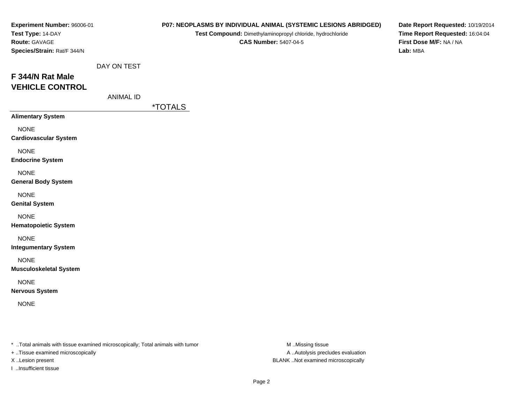| Experiment Number: 96006-01<br>Test Type: 14-DAY<br>Route: GAVAGE<br>Species/Strain: Rat/F 344/N |                                 |                | P07: NEOPLASMS BY INDIVIDUAL ANIMAL (SYSTEMIC LESIONS ABRIDGED)<br>Test Compound: Dimethylaminopropyl chloride, hydrochloride<br><b>CAS Number: 5407-04-5</b> | Date Report Requested: 10/19/2014<br>Time Report Requested: 16:04:04<br>First Dose M/F: NA / NA<br>Lab: MBA |
|--------------------------------------------------------------------------------------------------|---------------------------------|----------------|---------------------------------------------------------------------------------------------------------------------------------------------------------------|-------------------------------------------------------------------------------------------------------------|
| F 344/N Rat Male<br><b>VEHICLE CONTROL</b>                                                       | DAY ON TEST<br><b>ANIMAL ID</b> | <u>*TOTALS</u> |                                                                                                                                                               |                                                                                                             |
| <b>Alimentary System</b>                                                                         |                                 |                |                                                                                                                                                               |                                                                                                             |
| <b>NONE</b><br><b>Cardiovascular System</b>                                                      |                                 |                |                                                                                                                                                               |                                                                                                             |
| <b>NONE</b><br><b>Endocrine System</b>                                                           |                                 |                |                                                                                                                                                               |                                                                                                             |
| <b>NONE</b><br><b>General Body System</b>                                                        |                                 |                |                                                                                                                                                               |                                                                                                             |
| <b>NONE</b><br><b>Genital System</b>                                                             |                                 |                |                                                                                                                                                               |                                                                                                             |
| <b>NONE</b><br><b>Hematopoietic System</b>                                                       |                                 |                |                                                                                                                                                               |                                                                                                             |
| <b>NONE</b><br><b>Integumentary System</b>                                                       |                                 |                |                                                                                                                                                               |                                                                                                             |
| <b>NONE</b><br><b>Musculoskeletal System</b>                                                     |                                 |                |                                                                                                                                                               |                                                                                                             |
| <b>NONE</b><br><b>Nervous System</b>                                                             |                                 |                |                                                                                                                                                               |                                                                                                             |
| <b>NONE</b>                                                                                      |                                 |                |                                                                                                                                                               |                                                                                                             |
|                                                                                                  |                                 |                |                                                                                                                                                               |                                                                                                             |

+ ..Tissue examined microscopically

I ..Insufficient tissue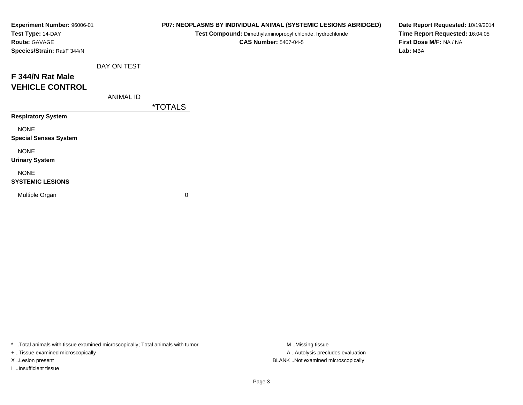| Experiment Number: 96006-01<br>Test Type: 14-DAY<br>Route: GAVAGE<br>Species/Strain: Rat/F 344/N |                  |                       | Test Compound: Dimethylaminopropyl chloride, hydrochloride<br><b>CAS Number: 5407-04-5</b> | P07: NEOPLASMS BY INDIVIDUAL ANIMAL (SYSTEMIC LESIONS ABRIDGED) | Date Report Requested: 10/19/2014<br>Time Report Requested: 16:04:05<br>First Dose M/F: NA / NA<br>Lab: MBA |
|--------------------------------------------------------------------------------------------------|------------------|-----------------------|--------------------------------------------------------------------------------------------|-----------------------------------------------------------------|-------------------------------------------------------------------------------------------------------------|
|                                                                                                  | DAY ON TEST      |                       |                                                                                            |                                                                 |                                                                                                             |
| F 344/N Rat Male<br><b>VEHICLE CONTROL</b>                                                       |                  |                       |                                                                                            |                                                                 |                                                                                                             |
|                                                                                                  | <b>ANIMAL ID</b> | <i><b>*TOTALS</b></i> |                                                                                            |                                                                 |                                                                                                             |
| <b>Respiratory System</b>                                                                        |                  |                       |                                                                                            |                                                                 |                                                                                                             |
| <b>NONE</b><br><b>Special Senses System</b>                                                      |                  |                       |                                                                                            |                                                                 |                                                                                                             |
| <b>NONE</b><br><b>Urinary System</b>                                                             |                  |                       |                                                                                            |                                                                 |                                                                                                             |
| <b>NONE</b><br><b>SYSTEMIC LESIONS</b>                                                           |                  |                       |                                                                                            |                                                                 |                                                                                                             |
| Multiple Organ                                                                                   |                  | 0                     |                                                                                            |                                                                 |                                                                                                             |

+ ..Tissue examined microscopically

I ..Insufficient tissue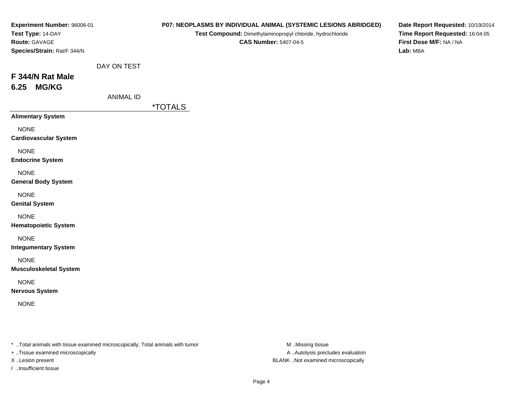| Experiment Number: 96006-01<br>Test Type: 14-DAY<br>Route: GAVAGE<br>Species/Strain: Rat/F 344/N |                                 |                       | P07: NEOPLASMS BY INDIVIDUAL ANIMAL (SYSTEMIC LESIONS ABRIDGED)<br>Test Compound: Dimethylaminopropyl chloride, hydrochloride<br><b>CAS Number: 5407-04-5</b> | Date Report Requested: 10/19/2014<br>Time Report Requested: 16:04:05<br>First Dose M/F: NA / NA<br>Lab: MBA |
|--------------------------------------------------------------------------------------------------|---------------------------------|-----------------------|---------------------------------------------------------------------------------------------------------------------------------------------------------------|-------------------------------------------------------------------------------------------------------------|
| F 344/N Rat Male<br><b>MG/KG</b><br>6.25                                                         | DAY ON TEST<br><b>ANIMAL ID</b> | <i><b>*TOTALS</b></i> |                                                                                                                                                               |                                                                                                             |
| <b>Alimentary System</b>                                                                         |                                 |                       |                                                                                                                                                               |                                                                                                             |
| <b>NONE</b><br><b>Cardiovascular System</b>                                                      |                                 |                       |                                                                                                                                                               |                                                                                                             |
| <b>NONE</b><br><b>Endocrine System</b>                                                           |                                 |                       |                                                                                                                                                               |                                                                                                             |
| <b>NONE</b><br><b>General Body System</b>                                                        |                                 |                       |                                                                                                                                                               |                                                                                                             |
| <b>NONE</b><br><b>Genital System</b>                                                             |                                 |                       |                                                                                                                                                               |                                                                                                             |
| <b>NONE</b><br><b>Hematopoietic System</b>                                                       |                                 |                       |                                                                                                                                                               |                                                                                                             |
| <b>NONE</b><br><b>Integumentary System</b>                                                       |                                 |                       |                                                                                                                                                               |                                                                                                             |
| <b>NONE</b><br><b>Musculoskeletal System</b>                                                     |                                 |                       |                                                                                                                                                               |                                                                                                             |
| <b>NONE</b><br><b>Nervous System</b>                                                             |                                 |                       |                                                                                                                                                               |                                                                                                             |
| <b>NONE</b>                                                                                      |                                 |                       |                                                                                                                                                               |                                                                                                             |
|                                                                                                  |                                 |                       |                                                                                                                                                               |                                                                                                             |

+ ..Tissue examined microscopically

I ..Insufficient tissue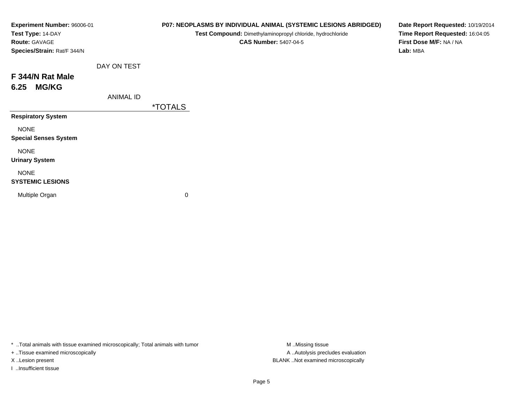| Experiment Number: 96006-01<br>Test Type: 14-DAY<br>Route: GAVAGE<br>Species/Strain: Rat/F 344/N |                  |                       | P07: NEOPLASMS BY INDIVIDUAL ANIMAL (SYSTEMIC LESIONS ABRIDGED)<br>Test Compound: Dimethylaminopropyl chloride, hydrochloride<br><b>CAS Number: 5407-04-5</b> | Date Report Requested: 10/19/2014<br>Time Report Requested: 16:04:05<br>First Dose M/F: NA / NA<br>Lab: MBA |
|--------------------------------------------------------------------------------------------------|------------------|-----------------------|---------------------------------------------------------------------------------------------------------------------------------------------------------------|-------------------------------------------------------------------------------------------------------------|
|                                                                                                  | DAY ON TEST      |                       |                                                                                                                                                               |                                                                                                             |
| F 344/N Rat Male<br><b>MG/KG</b><br>6.25                                                         |                  |                       |                                                                                                                                                               |                                                                                                             |
|                                                                                                  | <b>ANIMAL ID</b> | <i><b>*TOTALS</b></i> |                                                                                                                                                               |                                                                                                             |
| <b>Respiratory System</b>                                                                        |                  |                       |                                                                                                                                                               |                                                                                                             |
| <b>NONE</b><br><b>Special Senses System</b>                                                      |                  |                       |                                                                                                                                                               |                                                                                                             |
| <b>NONE</b><br><b>Urinary System</b>                                                             |                  |                       |                                                                                                                                                               |                                                                                                             |
| <b>NONE</b><br><b>SYSTEMIC LESIONS</b>                                                           |                  |                       |                                                                                                                                                               |                                                                                                             |
| Multiple Organ                                                                                   |                  | 0                     |                                                                                                                                                               |                                                                                                             |
|                                                                                                  |                  |                       |                                                                                                                                                               |                                                                                                             |

+ ..Tissue examined microscopically

I ..Insufficient tissue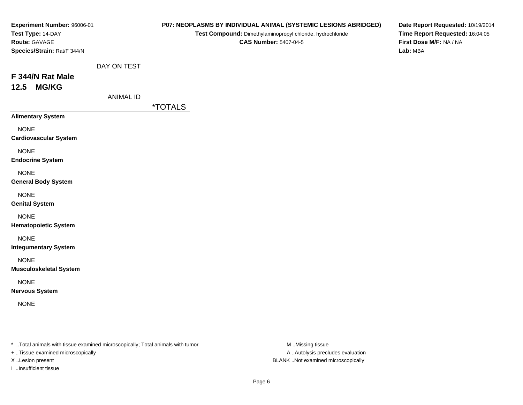| Experiment Number: 96006-01<br>Test Type: 14-DAY<br>Route: GAVAGE<br>Species/Strain: Rat/F 344/N |                                 |                       | P07: NEOPLASMS BY INDIVIDUAL ANIMAL (SYSTEMIC LESIONS ABRIDGED)<br>Test Compound: Dimethylaminopropyl chloride, hydrochloride<br><b>CAS Number: 5407-04-5</b> | Date Report Requested: 10/19/2014<br>Time Report Requested: 16:04:05<br>First Dose M/F: NA / NA<br>Lab: MBA |
|--------------------------------------------------------------------------------------------------|---------------------------------|-----------------------|---------------------------------------------------------------------------------------------------------------------------------------------------------------|-------------------------------------------------------------------------------------------------------------|
| F 344/N Rat Male<br><b>MG/KG</b><br>12.5                                                         | DAY ON TEST<br><b>ANIMAL ID</b> |                       |                                                                                                                                                               |                                                                                                             |
| <b>Alimentary System</b>                                                                         |                                 | <i><b>*TOTALS</b></i> |                                                                                                                                                               |                                                                                                             |
| <b>NONE</b><br><b>Cardiovascular System</b>                                                      |                                 |                       |                                                                                                                                                               |                                                                                                             |
| <b>NONE</b><br><b>Endocrine System</b>                                                           |                                 |                       |                                                                                                                                                               |                                                                                                             |
| <b>NONE</b><br><b>General Body System</b>                                                        |                                 |                       |                                                                                                                                                               |                                                                                                             |
| <b>NONE</b><br><b>Genital System</b>                                                             |                                 |                       |                                                                                                                                                               |                                                                                                             |
| <b>NONE</b><br><b>Hematopoietic System</b>                                                       |                                 |                       |                                                                                                                                                               |                                                                                                             |
| <b>NONE</b><br><b>Integumentary System</b>                                                       |                                 |                       |                                                                                                                                                               |                                                                                                             |
| <b>NONE</b><br><b>Musculoskeletal System</b>                                                     |                                 |                       |                                                                                                                                                               |                                                                                                             |
| <b>NONE</b><br><b>Nervous System</b>                                                             |                                 |                       |                                                                                                                                                               |                                                                                                             |
| <b>NONE</b>                                                                                      |                                 |                       |                                                                                                                                                               |                                                                                                             |
|                                                                                                  |                                 |                       |                                                                                                                                                               |                                                                                                             |

+ ..Tissue examined microscopically

I ..Insufficient tissue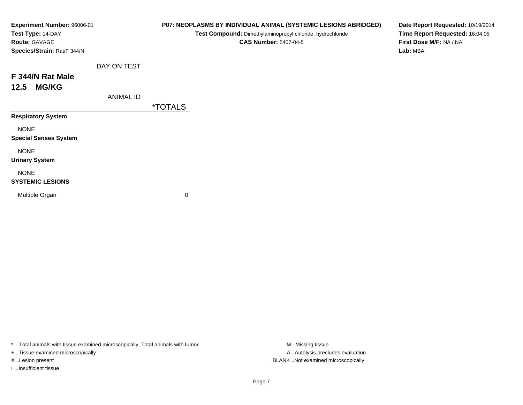| Experiment Number: 96006-01<br>Test Type: 14-DAY<br><b>Route: GAVAGE</b><br>Species/Strain: Rat/F 344/N |                  |                       | P07: NEOPLASMS BY INDIVIDUAL ANIMAL (SYSTEMIC LESIONS ABRIDGED)<br>Test Compound: Dimethylaminopropyl chloride, hydrochloride<br><b>CAS Number: 5407-04-5</b> | Date Report Requested: 10/19/2014<br>Time Report Requested: 16:04:05<br>First Dose M/F: NA / NA<br>Lab: MBA |
|---------------------------------------------------------------------------------------------------------|------------------|-----------------------|---------------------------------------------------------------------------------------------------------------------------------------------------------------|-------------------------------------------------------------------------------------------------------------|
|                                                                                                         | DAY ON TEST      |                       |                                                                                                                                                               |                                                                                                             |
| F 344/N Rat Male<br><b>MG/KG</b><br>12.5                                                                |                  |                       |                                                                                                                                                               |                                                                                                             |
|                                                                                                         | <b>ANIMAL ID</b> | <i><b>*TOTALS</b></i> |                                                                                                                                                               |                                                                                                             |
| <b>Respiratory System</b>                                                                               |                  |                       |                                                                                                                                                               |                                                                                                             |
| <b>NONE</b><br><b>Special Senses System</b>                                                             |                  |                       |                                                                                                                                                               |                                                                                                             |
| <b>NONE</b><br><b>Urinary System</b>                                                                    |                  |                       |                                                                                                                                                               |                                                                                                             |
| <b>NONE</b><br><b>SYSTEMIC LESIONS</b>                                                                  |                  |                       |                                                                                                                                                               |                                                                                                             |
| Multiple Organ                                                                                          |                  | 0                     |                                                                                                                                                               |                                                                                                             |
|                                                                                                         |                  |                       |                                                                                                                                                               |                                                                                                             |

+ ..Tissue examined microscopically

I ..Insufficient tissue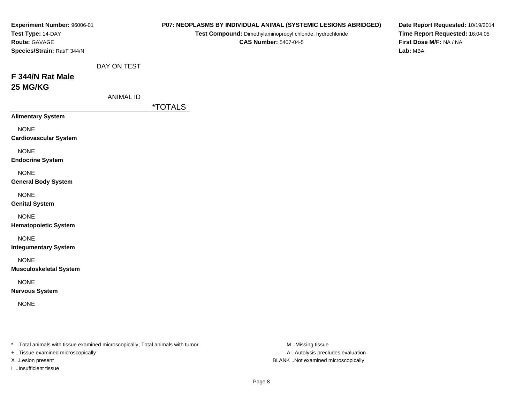| Experiment Number: 96006-01<br>Test Type: 14-DAY<br>Route: GAVAGE<br>Species/Strain: Rat/F 344/N |                                 |                       | P07: NEOPLASMS BY INDIVIDUAL ANIMAL (SYSTEMIC LESIONS ABRIDGED)<br>Test Compound: Dimethylaminopropyl chloride, hydrochloride<br><b>CAS Number: 5407-04-5</b> | Date Report Requested: 10/19/2014<br>Time Report Requested: 16:04:05<br>First Dose M/F: NA / NA<br>Lab: MBA |
|--------------------------------------------------------------------------------------------------|---------------------------------|-----------------------|---------------------------------------------------------------------------------------------------------------------------------------------------------------|-------------------------------------------------------------------------------------------------------------|
| F 344/N Rat Male<br>25 MG/KG                                                                     | DAY ON TEST<br><b>ANIMAL ID</b> | <i><b>*TOTALS</b></i> |                                                                                                                                                               |                                                                                                             |
| <b>Alimentary System</b>                                                                         |                                 |                       |                                                                                                                                                               |                                                                                                             |
| <b>NONE</b><br><b>Cardiovascular System</b>                                                      |                                 |                       |                                                                                                                                                               |                                                                                                             |
| <b>NONE</b><br><b>Endocrine System</b>                                                           |                                 |                       |                                                                                                                                                               |                                                                                                             |
| <b>NONE</b><br><b>General Body System</b>                                                        |                                 |                       |                                                                                                                                                               |                                                                                                             |
| <b>NONE</b><br><b>Genital System</b>                                                             |                                 |                       |                                                                                                                                                               |                                                                                                             |
| <b>NONE</b><br><b>Hematopoietic System</b>                                                       |                                 |                       |                                                                                                                                                               |                                                                                                             |
| <b>NONE</b><br><b>Integumentary System</b>                                                       |                                 |                       |                                                                                                                                                               |                                                                                                             |
| <b>NONE</b><br><b>Musculoskeletal System</b>                                                     |                                 |                       |                                                                                                                                                               |                                                                                                             |
| <b>NONE</b><br><b>Nervous System</b>                                                             |                                 |                       |                                                                                                                                                               |                                                                                                             |
| <b>NONE</b>                                                                                      |                                 |                       |                                                                                                                                                               |                                                                                                             |
|                                                                                                  |                                 |                       |                                                                                                                                                               |                                                                                                             |

+ ..Tissue examined microscopically

I ..Insufficient tissue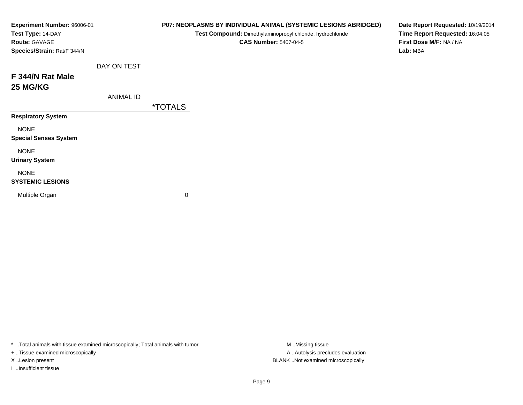| Date Report Requested: 10/19/2014<br>Time Report Requested: 16:04:05<br>First Dose M/F: NA / NA |
|-------------------------------------------------------------------------------------------------|
|                                                                                                 |
|                                                                                                 |
|                                                                                                 |
|                                                                                                 |
|                                                                                                 |
|                                                                                                 |
|                                                                                                 |
|                                                                                                 |
|                                                                                                 |
|                                                                                                 |

+ ..Tissue examined microscopically

I ..Insufficient tissue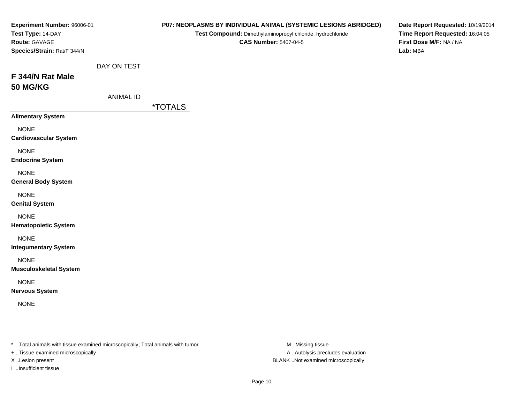| Experiment Number: 96006-01<br>Test Type: 14-DAY<br>Route: GAVAGE<br>Species/Strain: Rat/F 344/N |                                 |                       | P07: NEOPLASMS BY INDIVIDUAL ANIMAL (SYSTEMIC LESIONS ABRIDGED)<br>Test Compound: Dimethylaminopropyl chloride, hydrochloride<br><b>CAS Number: 5407-04-5</b> | Date Report Requested: 10/19/2014<br>Time Report Requested: 16:04:05<br>First Dose M/F: NA / NA<br>Lab: MBA |
|--------------------------------------------------------------------------------------------------|---------------------------------|-----------------------|---------------------------------------------------------------------------------------------------------------------------------------------------------------|-------------------------------------------------------------------------------------------------------------|
| F 344/N Rat Male<br><b>50 MG/KG</b>                                                              | DAY ON TEST<br><b>ANIMAL ID</b> | <i><b>*TOTALS</b></i> |                                                                                                                                                               |                                                                                                             |
| <b>Alimentary System</b>                                                                         |                                 |                       |                                                                                                                                                               |                                                                                                             |
| <b>NONE</b><br><b>Cardiovascular System</b>                                                      |                                 |                       |                                                                                                                                                               |                                                                                                             |
| <b>NONE</b><br><b>Endocrine System</b>                                                           |                                 |                       |                                                                                                                                                               |                                                                                                             |
| <b>NONE</b><br><b>General Body System</b>                                                        |                                 |                       |                                                                                                                                                               |                                                                                                             |
| <b>NONE</b><br><b>Genital System</b>                                                             |                                 |                       |                                                                                                                                                               |                                                                                                             |
| <b>NONE</b><br><b>Hematopoietic System</b>                                                       |                                 |                       |                                                                                                                                                               |                                                                                                             |
| <b>NONE</b><br><b>Integumentary System</b>                                                       |                                 |                       |                                                                                                                                                               |                                                                                                             |
| <b>NONE</b><br><b>Musculoskeletal System</b>                                                     |                                 |                       |                                                                                                                                                               |                                                                                                             |
| <b>NONE</b><br><b>Nervous System</b>                                                             |                                 |                       |                                                                                                                                                               |                                                                                                             |
| <b>NONE</b>                                                                                      |                                 |                       |                                                                                                                                                               |                                                                                                             |
|                                                                                                  |                                 |                       |                                                                                                                                                               |                                                                                                             |

+ ..Tissue examined microscopically

I ..Insufficient tissue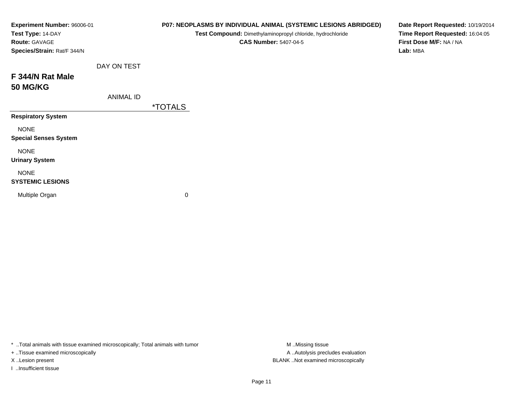| Experiment Number: 96006-01<br>Test Type: 14-DAY<br>Route: GAVAGE<br>Species/Strain: Rat/F 344/N |                  |                       | P07: NEOPLASMS BY INDIVIDUAL ANIMAL (SYSTEMIC LESIONS ABRIDGED)<br>Test Compound: Dimethylaminopropyl chloride, hydrochloride<br><b>CAS Number: 5407-04-5</b> | Date Report Requested: 10/19/2014<br>Time Report Requested: 16:04:05<br>First Dose M/F: NA / NA<br>Lab: MBA |
|--------------------------------------------------------------------------------------------------|------------------|-----------------------|---------------------------------------------------------------------------------------------------------------------------------------------------------------|-------------------------------------------------------------------------------------------------------------|
|                                                                                                  | DAY ON TEST      |                       |                                                                                                                                                               |                                                                                                             |
| F 344/N Rat Male<br><b>50 MG/KG</b>                                                              |                  |                       |                                                                                                                                                               |                                                                                                             |
|                                                                                                  | <b>ANIMAL ID</b> |                       |                                                                                                                                                               |                                                                                                             |
|                                                                                                  |                  | <i><b>*TOTALS</b></i> |                                                                                                                                                               |                                                                                                             |
| <b>Respiratory System</b>                                                                        |                  |                       |                                                                                                                                                               |                                                                                                             |
| <b>NONE</b><br><b>Special Senses System</b>                                                      |                  |                       |                                                                                                                                                               |                                                                                                             |
| <b>NONE</b><br><b>Urinary System</b>                                                             |                  |                       |                                                                                                                                                               |                                                                                                             |
| <b>NONE</b><br><b>SYSTEMIC LESIONS</b>                                                           |                  |                       |                                                                                                                                                               |                                                                                                             |
| Multiple Organ                                                                                   |                  | 0                     |                                                                                                                                                               |                                                                                                             |

+ ..Tissue examined microscopically

I ..Insufficient tissue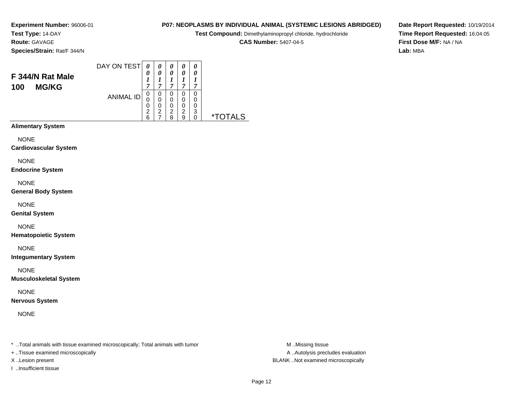**Test Type:** 14-DAY**Route:** GAVAGE

**Species/Strain:** Rat/F 344/N

#### DAY ON TEST**F 344/N Rat Male100 MG/KG**ANIMAL ID*0 0 1 7* 0 0 0 2 6*0 0 1 7*0<br>0<br>0<br>2<br>7 *0 0 1 7* 0 0 0 2 8*0 0 1 7* 0 0 0 2 9*0 0 1 7* 0 0 0 3 0 \*TOTALS

**Alimentary System**

**NONE** 

**Cardiovascular System**

NONE

**Endocrine System**

NONE

**General Body System**

NONE

**Genital System**

NONE

**Hematopoietic System**

NONE

**Integumentary System**

NONE

**Musculoskeletal System**

NONE

**Nervous System**

NONE

\* ..Total animals with tissue examined microscopically; Total animals with tumor **M** ..Missing tissue M ..Missing tissue

+ ..Tissue examined microscopically

I ..Insufficient tissue

**P07: NEOPLASMS BY INDIVIDUAL ANIMAL (SYSTEMIC LESIONS ABRIDGED)**

**Test Compound:** Dimethylaminopropyl chloride, hydrochloride

**CAS Number:** 5407-04-5

**Date Report Requested:** 10/19/2014**Time Report Requested:** 16:04:05**First Dose M/F:** NA / NA**Lab:** MBA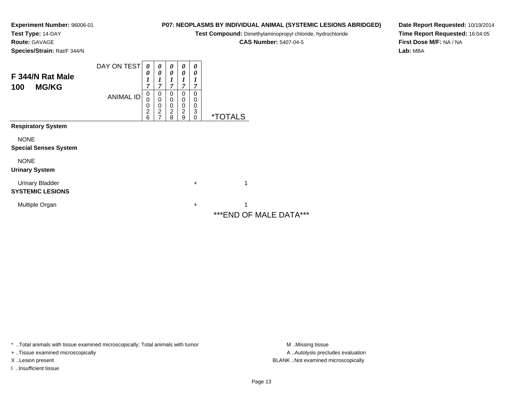**Test Type:** 14-DAY

**Route:** GAVAGE

**Species/Strain:** Rat/F 344/N

**P07: NEOPLASMS BY INDIVIDUAL ANIMAL (SYSTEMIC LESIONS ABRIDGED)**

**Test Compound:** Dimethylaminopropyl chloride, hydrochloride

**CAS Number:** 5407-04-5

**Date Report Requested:** 10/19/2014**Time Report Requested:** 16:04:05**First Dose M/F:** NA / NA**Lab:** MBA

| F 344/N Rat Male<br><b>MG/KG</b><br>100           | DAY ON TEST<br><b>ANIMAL ID</b> | 0<br>0<br>$\boldsymbol{l}$<br>$\overline{7}$<br>0<br>0 | 0<br>0<br>7<br>0<br>0             | 0<br>0<br>7<br>0        | 0<br>0<br>7<br>0<br>0 | 0<br>0<br>1<br>7<br>0<br>0 |                              |
|---------------------------------------------------|---------------------------------|--------------------------------------------------------|-----------------------------------|-------------------------|-----------------------|----------------------------|------------------------------|
|                                                   |                                 | 0<br>$\overline{c}$<br>6                               | 0<br>$\overline{\mathbf{c}}$<br>7 | 0<br>0<br>$\frac{2}{8}$ | 0<br>2<br>9           | 0<br>3<br>$\mathbf 0$      | <i><b>*TOTALS</b></i>        |
| <b>Respiratory System</b>                         |                                 |                                                        |                                   |                         |                       |                            |                              |
| <b>NONE</b><br><b>Special Senses System</b>       |                                 |                                                        |                                   |                         |                       |                            |                              |
| <b>NONE</b><br><b>Urinary System</b>              |                                 |                                                        |                                   |                         |                       |                            |                              |
| <b>Urinary Bladder</b><br><b>SYSTEMIC LESIONS</b> |                                 |                                                        |                                   |                         |                       | $\ddot{}$                  | 1                            |
| Multiple Organ                                    |                                 |                                                        |                                   |                         |                       | $\ddot{}$                  | 1<br>*** END OF MALE DATA*** |

\* ..Total animals with tissue examined microscopically; Total animals with tumor **M** . Missing tissue M ..Missing tissue

+ ..Tissue examined microscopically

I ..Insufficient tissue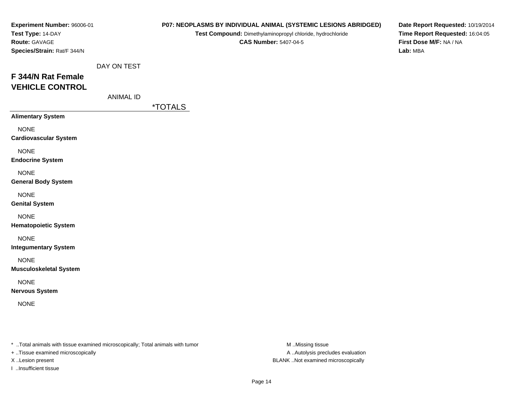| Experiment Number: 96006-01<br>Test Type: 14-DAY<br>Route: GAVAGE<br>Species/Strain: Rat/F 344/N |                                 |                       | P07: NEOPLASMS BY INDIVIDUAL ANIMAL (SYSTEMIC LESIONS ABRIDGED)<br>Test Compound: Dimethylaminopropyl chloride, hydrochloride<br><b>CAS Number: 5407-04-5</b> | Date Report Requested: 10/19/2014<br>Time Report Requested: 16:04:05<br>First Dose M/F: NA / NA<br>Lab: MBA |
|--------------------------------------------------------------------------------------------------|---------------------------------|-----------------------|---------------------------------------------------------------------------------------------------------------------------------------------------------------|-------------------------------------------------------------------------------------------------------------|
| F 344/N Rat Female<br><b>VEHICLE CONTROL</b>                                                     | DAY ON TEST<br><b>ANIMAL ID</b> | <i><b>*TOTALS</b></i> |                                                                                                                                                               |                                                                                                             |
| <b>Alimentary System</b>                                                                         |                                 |                       |                                                                                                                                                               |                                                                                                             |
| <b>NONE</b><br><b>Cardiovascular System</b>                                                      |                                 |                       |                                                                                                                                                               |                                                                                                             |
| <b>NONE</b><br><b>Endocrine System</b>                                                           |                                 |                       |                                                                                                                                                               |                                                                                                             |
| <b>NONE</b><br><b>General Body System</b>                                                        |                                 |                       |                                                                                                                                                               |                                                                                                             |
| <b>NONE</b><br><b>Genital System</b>                                                             |                                 |                       |                                                                                                                                                               |                                                                                                             |
| <b>NONE</b><br><b>Hematopoietic System</b>                                                       |                                 |                       |                                                                                                                                                               |                                                                                                             |
| <b>NONE</b><br><b>Integumentary System</b>                                                       |                                 |                       |                                                                                                                                                               |                                                                                                             |
| <b>NONE</b><br><b>Musculoskeletal System</b>                                                     |                                 |                       |                                                                                                                                                               |                                                                                                             |
| <b>NONE</b><br><b>Nervous System</b>                                                             |                                 |                       |                                                                                                                                                               |                                                                                                             |
| <b>NONE</b>                                                                                      |                                 |                       |                                                                                                                                                               |                                                                                                             |
|                                                                                                  |                                 |                       |                                                                                                                                                               |                                                                                                             |

+ ..Tissue examined microscopically

I ..Insufficient tissue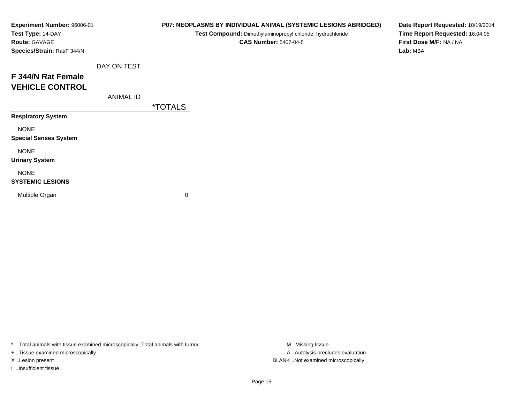| Experiment Number: 96006-01<br>Test Type: 14-DAY<br><b>Route: GAVAGE</b> |                  |                       | P07: NEOPLASMS BY INDIVIDUAL ANIMAL (SYSTEMIC LESIONS ABRIDGED)<br>Test Compound: Dimethylaminopropyl chloride, hydrochloride<br><b>CAS Number: 5407-04-5</b> | Date Report Requested: 10/19/2014<br>Time Report Requested: 16:04:05<br>First Dose M/F: NA / NA |  |
|--------------------------------------------------------------------------|------------------|-----------------------|---------------------------------------------------------------------------------------------------------------------------------------------------------------|-------------------------------------------------------------------------------------------------|--|
| Species/Strain: Rat/F 344/N                                              |                  |                       |                                                                                                                                                               | Lab: MBA                                                                                        |  |
|                                                                          | DAY ON TEST      |                       |                                                                                                                                                               |                                                                                                 |  |
| F 344/N Rat Female                                                       |                  |                       |                                                                                                                                                               |                                                                                                 |  |
| <b>VEHICLE CONTROL</b>                                                   |                  |                       |                                                                                                                                                               |                                                                                                 |  |
|                                                                          | <b>ANIMAL ID</b> |                       |                                                                                                                                                               |                                                                                                 |  |
|                                                                          |                  | <i><b>*TOTALS</b></i> |                                                                                                                                                               |                                                                                                 |  |
| <b>Respiratory System</b>                                                |                  |                       |                                                                                                                                                               |                                                                                                 |  |
| <b>NONE</b>                                                              |                  |                       |                                                                                                                                                               |                                                                                                 |  |
| <b>Special Senses System</b>                                             |                  |                       |                                                                                                                                                               |                                                                                                 |  |
| <b>NONE</b>                                                              |                  |                       |                                                                                                                                                               |                                                                                                 |  |
| <b>Urinary System</b>                                                    |                  |                       |                                                                                                                                                               |                                                                                                 |  |
| <b>NONE</b>                                                              |                  |                       |                                                                                                                                                               |                                                                                                 |  |
| <b>SYSTEMIC LESIONS</b>                                                  |                  |                       |                                                                                                                                                               |                                                                                                 |  |
| Multiple Organ                                                           |                  | 0                     |                                                                                                                                                               |                                                                                                 |  |
|                                                                          |                  |                       |                                                                                                                                                               |                                                                                                 |  |

+ ..Tissue examined microscopically

I ..Insufficient tissue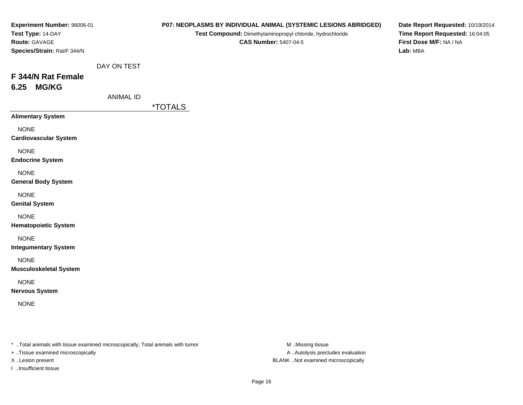| Experiment Number: 96006-01<br>Test Type: 14-DAY<br>Route: GAVAGE<br>Species/Strain: Rat/F 344/N |                                 |                       | P07: NEOPLASMS BY INDIVIDUAL ANIMAL (SYSTEMIC LESIONS ABRIDGED)<br>Test Compound: Dimethylaminopropyl chloride, hydrochloride<br><b>CAS Number: 5407-04-5</b> | Date Report Requested: 10/19/2014<br>Time Report Requested: 16:04:05<br>First Dose M/F: NA / NA<br>Lab: MBA |
|--------------------------------------------------------------------------------------------------|---------------------------------|-----------------------|---------------------------------------------------------------------------------------------------------------------------------------------------------------|-------------------------------------------------------------------------------------------------------------|
| F 344/N Rat Female<br><b>MG/KG</b><br>6.25                                                       | DAY ON TEST<br><b>ANIMAL ID</b> | <i><b>*TOTALS</b></i> |                                                                                                                                                               |                                                                                                             |
| <b>Alimentary System</b>                                                                         |                                 |                       |                                                                                                                                                               |                                                                                                             |
| <b>NONE</b><br><b>Cardiovascular System</b>                                                      |                                 |                       |                                                                                                                                                               |                                                                                                             |
| <b>NONE</b><br><b>Endocrine System</b>                                                           |                                 |                       |                                                                                                                                                               |                                                                                                             |
| <b>NONE</b><br><b>General Body System</b>                                                        |                                 |                       |                                                                                                                                                               |                                                                                                             |
| <b>NONE</b><br><b>Genital System</b>                                                             |                                 |                       |                                                                                                                                                               |                                                                                                             |
| <b>NONE</b><br><b>Hematopoietic System</b>                                                       |                                 |                       |                                                                                                                                                               |                                                                                                             |
| <b>NONE</b><br><b>Integumentary System</b>                                                       |                                 |                       |                                                                                                                                                               |                                                                                                             |
| <b>NONE</b><br><b>Musculoskeletal System</b>                                                     |                                 |                       |                                                                                                                                                               |                                                                                                             |
| <b>NONE</b><br><b>Nervous System</b>                                                             |                                 |                       |                                                                                                                                                               |                                                                                                             |
| <b>NONE</b>                                                                                      |                                 |                       |                                                                                                                                                               |                                                                                                             |
|                                                                                                  |                                 |                       |                                                                                                                                                               |                                                                                                             |

+ ..Tissue examined microscopically

I ..Insufficient tissue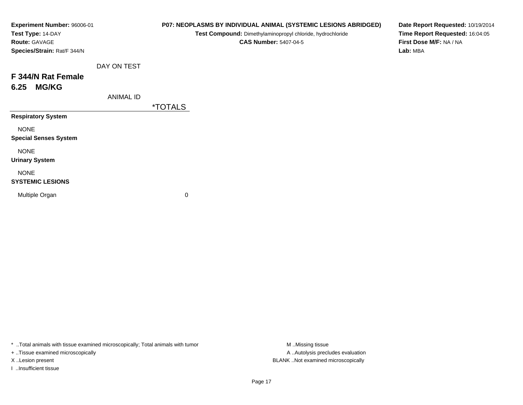| Experiment Number: 96006-01<br>Test Type: 14-DAY<br>Route: GAVAGE<br>Species/Strain: Rat/F 344/N |                  | P07: NEOPLASMS BY INDIVIDUAL ANIMAL (SYSTEMIC LESIONS ABRIDGED)<br>Test Compound: Dimethylaminopropyl chloride, hydrochloride<br><b>CAS Number: 5407-04-5</b> | Date Report Requested: 10/19/2014<br>Time Report Requested: 16:04:05<br>First Dose M/F: NA / NA<br>Lab: MBA |
|--------------------------------------------------------------------------------------------------|------------------|---------------------------------------------------------------------------------------------------------------------------------------------------------------|-------------------------------------------------------------------------------------------------------------|
|                                                                                                  | DAY ON TEST      |                                                                                                                                                               |                                                                                                             |
| F 344/N Rat Female<br><b>MG/KG</b><br>6.25                                                       |                  |                                                                                                                                                               |                                                                                                             |
|                                                                                                  | <b>ANIMAL ID</b> |                                                                                                                                                               |                                                                                                             |
|                                                                                                  |                  | <i><b>*TOTALS</b></i>                                                                                                                                         |                                                                                                             |
| <b>Respiratory System</b>                                                                        |                  |                                                                                                                                                               |                                                                                                             |
| <b>NONE</b><br><b>Special Senses System</b>                                                      |                  |                                                                                                                                                               |                                                                                                             |
| <b>NONE</b><br><b>Urinary System</b>                                                             |                  |                                                                                                                                                               |                                                                                                             |
| <b>NONE</b><br><b>SYSTEMIC LESIONS</b>                                                           |                  |                                                                                                                                                               |                                                                                                             |
| Multiple Organ                                                                                   |                  | 0                                                                                                                                                             |                                                                                                             |

+ ..Tissue examined microscopically

I ..Insufficient tissue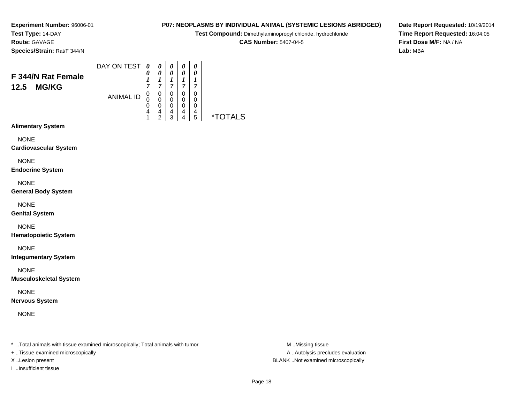**Test Type:** 14-DAY**Route:** GAVAGE

**Species/Strain:** Rat/F 344/N

#### DAY ON TEST**F 344/N Rat Female12.5 MG/KG**ANIMAL ID*0 0 1 7* 0 0 0 4*0 0 1 7*0<br>0<br>0<br>4<br>2 *0 0 1 7* 0 0 0 4 3*0 0 1 7* 0 0 0 4*0 0 1 7* 0 00<br>4<br>5 5 \*TOTALS

1

4

**Alimentary System**

**NONE** 

**Cardiovascular System**

NONE

**Endocrine System**

NONE

**General Body System**

NONE

**Genital System**

NONE

**Hematopoietic System**

NONE

**Integumentary System**

NONE

**Musculoskeletal System**

NONE

**Nervous System**

NONE

\* ..Total animals with tissue examined microscopically; Total animals with tumor **M** ..Missing tissue M ..Missing tissue

+ ..Tissue examined microscopically

X ..Lesion present BLANK ..Not examined microscopically

I ..Insufficient tissue

**P07: NEOPLASMS BY INDIVIDUAL ANIMAL (SYSTEMIC LESIONS ABRIDGED)**

**Test Compound:** Dimethylaminopropyl chloride, hydrochloride

**CAS Number:** 5407-04-5

**Date Report Requested:** 10/19/2014**Time Report Requested:** 16:04:05**First Dose M/F:** NA / NA**Lab:** MBA

A ..Autolysis precludes evaluation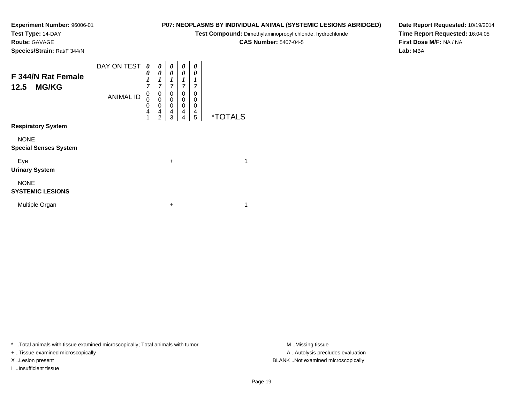**Test Type:** 14-DAY

**Route:** GAVAGE

**Species/Strain:** Rat/F 344/N

## **P07: NEOPLASMS BY INDIVIDUAL ANIMAL (SYSTEMIC LESIONS ABRIDGED)**

**Test Compound:** Dimethylaminopropyl chloride, hydrochloride

**CAS Number:** 5407-04-5

**Date Report Requested:** 10/19/2014**Time Report Requested:** 16:04:05**First Dose M/F:** NA / NA**Lab:** MBA

| F 344/N Rat Female<br>12.5<br><b>MG/KG</b>  | DAY ON TEST      | 0<br>$\pmb{\theta}$<br>$\boldsymbol{l}$<br>7 | 0<br>0<br>$\boldsymbol{l}$<br>7    | 0<br>0<br>1<br>7                             | 0<br>0<br>1<br>7      | 0<br>0<br>1<br>$\overline{7}$ |                       |  |
|---------------------------------------------|------------------|----------------------------------------------|------------------------------------|----------------------------------------------|-----------------------|-------------------------------|-----------------------|--|
|                                             | <b>ANIMAL ID</b> | 0<br>$\mathbf 0$<br>0<br>4                   | 0<br>0<br>0<br>4<br>$\overline{c}$ | 0<br>0<br>$\mathbf 0$<br>$\overline{4}$<br>3 | 0<br>0<br>0<br>4<br>4 | 0<br>0<br>0<br>4<br>5         | <i><b>*TOTALS</b></i> |  |
| <b>Respiratory System</b>                   |                  |                                              |                                    |                                              |                       |                               |                       |  |
| <b>NONE</b><br><b>Special Senses System</b> |                  |                                              |                                    |                                              |                       |                               |                       |  |
| Eye<br><b>Urinary System</b>                |                  |                                              |                                    | $\ddot{}$                                    |                       |                               | 1                     |  |
| <b>NONE</b><br><b>SYSTEMIC LESIONS</b>      |                  |                                              |                                    |                                              |                       |                               |                       |  |
| Multiple Organ                              |                  |                                              |                                    | +                                            |                       |                               | 1                     |  |

\* ..Total animals with tissue examined microscopically; Total animals with tumor **M** . Missing tissue M ..Missing tissue

+ ..Tissue examined microscopically

I ..Insufficient tissue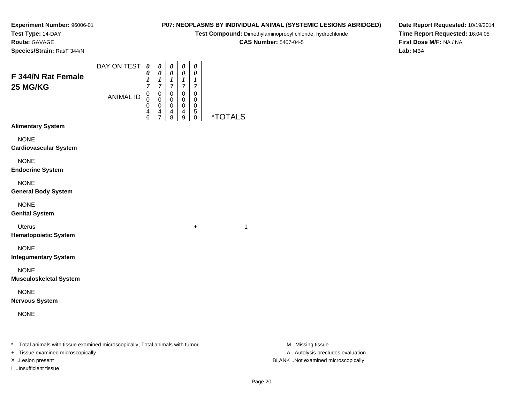**Experiment Number:** 96006-01**Test Type:** 14-DAY

**Route:** GAVAGE

**Species/Strain:** Rat/F 344/N

## **P07: NEOPLASMS BY INDIVIDUAL ANIMAL (SYSTEMIC LESIONS ABRIDGED)**

**Test Compound:** Dimethylaminopropyl chloride, hydrochloride

**CAS Number:** 5407-04-5

**Date Report Requested:** 10/19/2014**Time Report Requested:** 16:04:05**First Dose M/F:** NA / NA**Lab:** MBA

| F 344/N Rat Female                           | DAY ON TEST      | 0<br>0<br>$\boldsymbol{l}$             | 0<br>$\boldsymbol{\theta}$<br>$\boldsymbol{l}$                 | 0<br>$\pmb{\theta}$<br>$\boldsymbol{l}$ | 0<br>$\pmb{\theta}$<br>$\boldsymbol{l}$ | 0<br>$\boldsymbol{\theta}$<br>$\boldsymbol{l}$ |                       |
|----------------------------------------------|------------------|----------------------------------------|----------------------------------------------------------------|-----------------------------------------|-----------------------------------------|------------------------------------------------|-----------------------|
| 25 MG/KG                                     |                  | $\overline{7}$                         | $\boldsymbol{7}$                                               | $\overline{7}$                          | $\overline{7}$                          | $\boldsymbol{7}$                               |                       |
|                                              | <b>ANIMAL ID</b> | $\mathbf 0$<br>$\Omega$<br>0<br>4<br>6 | $\pmb{0}$<br>$\mathbf 0$<br>$\mathbf 0$<br>4<br>$\overline{7}$ | 0<br>$\mathbf 0$<br>0<br>4<br>8         | 0<br>0<br>0<br>4<br>9                   | $\mathbf 0$<br>0<br>0<br>5<br>0                | <i><b>*TOTALS</b></i> |
| <b>Alimentary System</b>                     |                  |                                        |                                                                |                                         |                                         |                                                |                       |
| <b>NONE</b><br><b>Cardiovascular System</b>  |                  |                                        |                                                                |                                         |                                         |                                                |                       |
| <b>NONE</b><br><b>Endocrine System</b>       |                  |                                        |                                                                |                                         |                                         |                                                |                       |
| <b>NONE</b><br><b>General Body System</b>    |                  |                                        |                                                                |                                         |                                         |                                                |                       |
| <b>NONE</b><br><b>Genital System</b>         |                  |                                        |                                                                |                                         |                                         |                                                |                       |
| <b>Uterus</b><br><b>Hematopoietic System</b> |                  |                                        |                                                                |                                         |                                         | +                                              | 1                     |
| <b>NONE</b><br><b>Integumentary System</b>   |                  |                                        |                                                                |                                         |                                         |                                                |                       |
| <b>NONE</b><br><b>Musculoskeletal System</b> |                  |                                        |                                                                |                                         |                                         |                                                |                       |
| <b>NONE</b><br><b>Nervous System</b>         |                  |                                        |                                                                |                                         |                                         |                                                |                       |
| <b>NONE</b>                                  |                  |                                        |                                                                |                                         |                                         |                                                |                       |
|                                              |                  |                                        |                                                                |                                         |                                         |                                                |                       |

\* ..Total animals with tissue examined microscopically; Total animals with tumor **M** . Missing tissue M ..Missing tissue

+ ..Tissue examined microscopically

I ..Insufficient tissue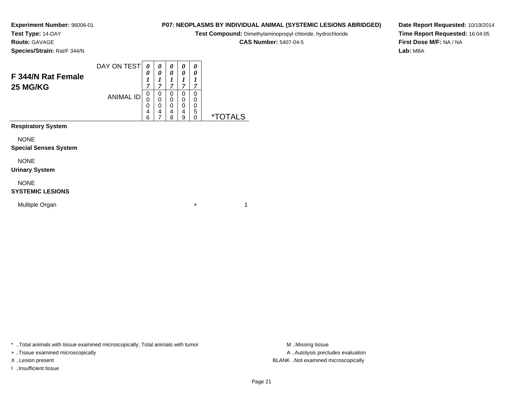**Test Type:** 14-DAY**Route:** GAVAGE

**Species/Strain:** Rat/F 344/N

# **P07: NEOPLASMS BY INDIVIDUAL ANIMAL (SYSTEMIC LESIONS ABRIDGED)**

**Test Compound:** Dimethylaminopropyl chloride, hydrochloride

**CAS Number:** 5407-04-5

**Date Report Requested:** 10/19/2014**Time Report Requested:** 16:04:05**First Dose M/F:** NA / NA**Lab:** MBA

| F 344/N Rat Female<br><b>25 MG/KG</b> | DAY ON TEST      | 0<br>7                | 0<br>0<br>⊥<br>7 | 0<br>0<br>J.<br>7     | 0<br>0<br>7           | 0<br>0<br>7 |            |
|---------------------------------------|------------------|-----------------------|------------------|-----------------------|-----------------------|-------------|------------|
|                                       | <b>ANIMAL ID</b> | 0<br>0<br>O<br>4<br>6 | 0<br>0<br>0<br>4 | 0<br>0<br>0<br>4<br>8 | 0<br>0<br>0<br>4<br>9 | 0<br>0<br>5 | ∗⊤<br>AI S |
| <b>Respiratory System</b>             |                  |                       |                  |                       |                       |             |            |

NONE

#### **Special Senses System**

NONE

#### **Urinary System**

NONE

### **SYSTEMIC LESIONS**

Multiple Organn  $+$ 

\* ..Total animals with tissue examined microscopically; Total animals with tumor **M** ...Missing tissue M ...Missing tissue

+ ..Tissue examined microscopically

I ..Insufficient tissue

A ..Autolysis precludes evaluation X ..Lesion present BLANK ..Not examined microscopically

 $+$  1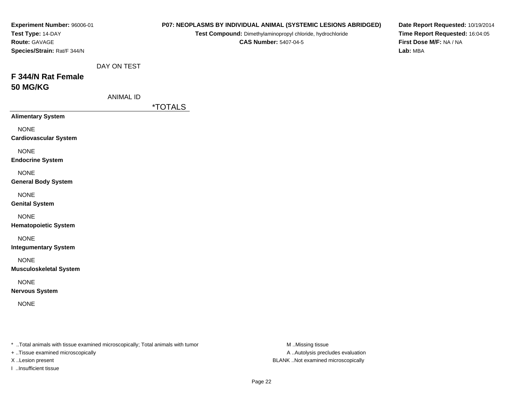| Experiment Number: 96006-01<br>Test Type: 14-DAY<br>Route: GAVAGE<br>Species/Strain: Rat/F 344/N |                                 |                       | Test Compound: Dimethylaminopropyl chloride, hydrochloride<br><b>CAS Number: 5407-04-5</b> | P07: NEOPLASMS BY INDIVIDUAL ANIMAL (SYSTEMIC LESIONS ABRIDGED) | Date Report Requested: 10/19/2014<br>Time Report Requested: 16:04:05<br>First Dose M/F: NA / NA<br>Lab: MBA |
|--------------------------------------------------------------------------------------------------|---------------------------------|-----------------------|--------------------------------------------------------------------------------------------|-----------------------------------------------------------------|-------------------------------------------------------------------------------------------------------------|
| F 344/N Rat Female<br><b>50 MG/KG</b>                                                            | DAY ON TEST<br><b>ANIMAL ID</b> |                       |                                                                                            |                                                                 |                                                                                                             |
| <b>Alimentary System</b>                                                                         |                                 | <i><b>*TOTALS</b></i> |                                                                                            |                                                                 |                                                                                                             |
| <b>NONE</b><br><b>Cardiovascular System</b>                                                      |                                 |                       |                                                                                            |                                                                 |                                                                                                             |
| <b>NONE</b><br><b>Endocrine System</b>                                                           |                                 |                       |                                                                                            |                                                                 |                                                                                                             |
| <b>NONE</b><br><b>General Body System</b>                                                        |                                 |                       |                                                                                            |                                                                 |                                                                                                             |
| <b>NONE</b><br><b>Genital System</b>                                                             |                                 |                       |                                                                                            |                                                                 |                                                                                                             |
| <b>NONE</b><br><b>Hematopoietic System</b>                                                       |                                 |                       |                                                                                            |                                                                 |                                                                                                             |
| <b>NONE</b><br><b>Integumentary System</b>                                                       |                                 |                       |                                                                                            |                                                                 |                                                                                                             |
| <b>NONE</b><br><b>Musculoskeletal System</b>                                                     |                                 |                       |                                                                                            |                                                                 |                                                                                                             |
| <b>NONE</b><br><b>Nervous System</b>                                                             |                                 |                       |                                                                                            |                                                                 |                                                                                                             |
| <b>NONE</b>                                                                                      |                                 |                       |                                                                                            |                                                                 |                                                                                                             |
| * Total animals with tissue examined microscopically; Total animals with tumor                   |                                 |                       |                                                                                            | M Missing tissue                                                |                                                                                                             |

+ ..Tissue examined microscopically

I ..Insufficient tissue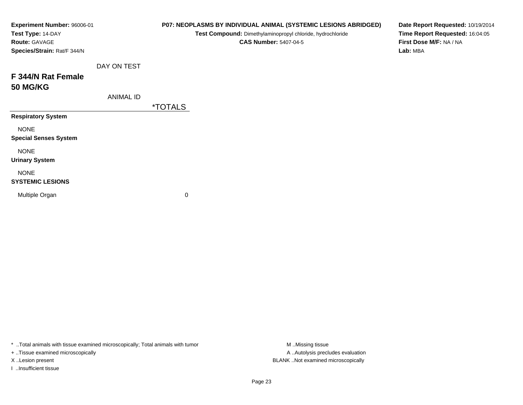| Experiment Number: 96006-01<br>Test Type: 14-DAY<br>Route: GAVAGE<br>Species/Strain: Rat/F 344/N |                  |                       | P07: NEOPLASMS BY INDIVIDUAL ANIMAL (SYSTEMIC LESIONS ABRIDGED)<br>Test Compound: Dimethylaminopropyl chloride, hydrochloride<br><b>CAS Number: 5407-04-5</b> | Date Report Requested: 10/19/2014<br>Time Report Requested: 16:04:05<br>First Dose M/F: NA / NA<br>Lab: MBA |
|--------------------------------------------------------------------------------------------------|------------------|-----------------------|---------------------------------------------------------------------------------------------------------------------------------------------------------------|-------------------------------------------------------------------------------------------------------------|
|                                                                                                  | DAY ON TEST      |                       |                                                                                                                                                               |                                                                                                             |
| F 344/N Rat Female<br><b>50 MG/KG</b>                                                            |                  |                       |                                                                                                                                                               |                                                                                                             |
|                                                                                                  | <b>ANIMAL ID</b> |                       |                                                                                                                                                               |                                                                                                             |
|                                                                                                  |                  | <i><b>*TOTALS</b></i> |                                                                                                                                                               |                                                                                                             |
| <b>Respiratory System</b>                                                                        |                  |                       |                                                                                                                                                               |                                                                                                             |
| <b>NONE</b><br><b>Special Senses System</b>                                                      |                  |                       |                                                                                                                                                               |                                                                                                             |
| <b>NONE</b><br><b>Urinary System</b>                                                             |                  |                       |                                                                                                                                                               |                                                                                                             |
| <b>NONE</b><br><b>SYSTEMIC LESIONS</b>                                                           |                  |                       |                                                                                                                                                               |                                                                                                             |
| Multiple Organ                                                                                   |                  | 0                     |                                                                                                                                                               |                                                                                                             |

+ ..Tissue examined microscopically

I ..Insufficient tissue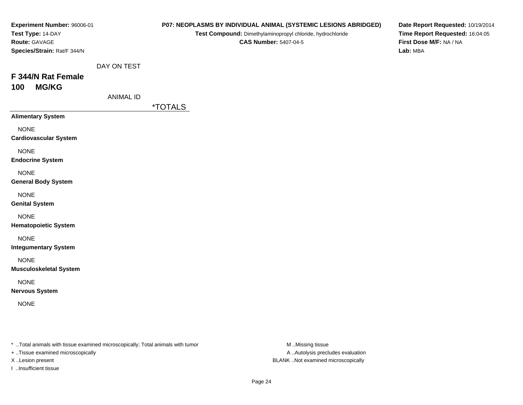| Experiment Number: 96006-01<br>Test Type: 14-DAY<br>Route: GAVAGE<br>Species/Strain: Rat/F 344/N |                                 |                       | P07: NEOPLASMS BY INDIVIDUAL ANIMAL (SYSTEMIC LESIONS ABRIDGED)<br>Test Compound: Dimethylaminopropyl chloride, hydrochloride<br><b>CAS Number: 5407-04-5</b> | Date Report Requested: 10/19/2014<br>Time Report Requested: 16:04:05<br>First Dose M/F: NA / NA<br>Lab: MBA |
|--------------------------------------------------------------------------------------------------|---------------------------------|-----------------------|---------------------------------------------------------------------------------------------------------------------------------------------------------------|-------------------------------------------------------------------------------------------------------------|
| F 344/N Rat Female<br><b>MG/KG</b><br>100                                                        | DAY ON TEST<br><b>ANIMAL ID</b> |                       |                                                                                                                                                               |                                                                                                             |
| <b>Alimentary System</b>                                                                         |                                 | <i><b>*TOTALS</b></i> |                                                                                                                                                               |                                                                                                             |
| <b>NONE</b><br><b>Cardiovascular System</b>                                                      |                                 |                       |                                                                                                                                                               |                                                                                                             |
| <b>NONE</b><br><b>Endocrine System</b>                                                           |                                 |                       |                                                                                                                                                               |                                                                                                             |
| <b>NONE</b><br><b>General Body System</b>                                                        |                                 |                       |                                                                                                                                                               |                                                                                                             |
| <b>NONE</b><br><b>Genital System</b>                                                             |                                 |                       |                                                                                                                                                               |                                                                                                             |
| <b>NONE</b><br><b>Hematopoietic System</b>                                                       |                                 |                       |                                                                                                                                                               |                                                                                                             |
| <b>NONE</b><br><b>Integumentary System</b>                                                       |                                 |                       |                                                                                                                                                               |                                                                                                             |
| <b>NONE</b><br><b>Musculoskeletal System</b>                                                     |                                 |                       |                                                                                                                                                               |                                                                                                             |
| <b>NONE</b><br><b>Nervous System</b>                                                             |                                 |                       |                                                                                                                                                               |                                                                                                             |
| <b>NONE</b>                                                                                      |                                 |                       |                                                                                                                                                               |                                                                                                             |
|                                                                                                  |                                 |                       |                                                                                                                                                               |                                                                                                             |

+ ..Tissue examined microscopically

I ..Insufficient tissue